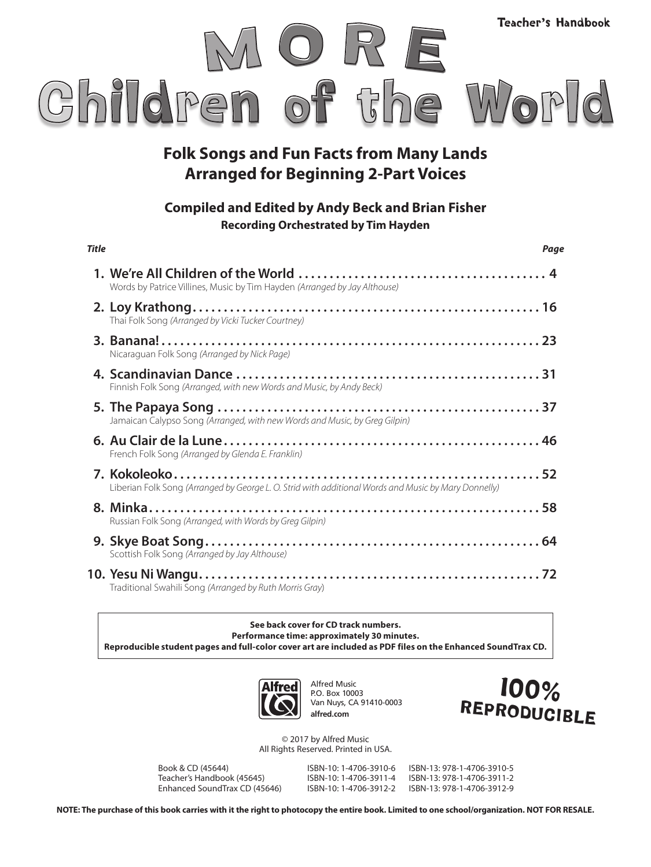

#### **Folk Songs and Fun Facts from Many Lands Arranged for Beginning 2-Part Voices**

#### **Compiled and Edited by Andy Beck and Brian Fisher Recording Orchestrated by Tim Hayden**

| <b>Title</b> |                                                                                                      | Page |
|--------------|------------------------------------------------------------------------------------------------------|------|
|              | Words by Patrice Villines, Music by Tim Hayden (Arranged by Jay Althouse)                            |      |
|              | Thai Folk Song (Arranged by Vicki Tucker Courtney)                                                   |      |
|              | Nicaraguan Folk Song (Arranged by Nick Page)                                                         |      |
|              | Finnish Folk Song (Arranged, with new Words and Music, by Andy Beck)                                 |      |
|              | Jamaican Calypso Song (Arranged, with new Words and Music, by Greg Gilpin)                           |      |
|              | French Folk Song (Arranged by Glenda E. Franklin)                                                    |      |
|              | Liberian Folk Song (Arranged by George L. O. Strid with additional Words and Music by Mary Donnelly) |      |
|              | Russian Folk Song (Arranged, with Words by Greg Gilpin)                                              |      |
|              | Scottish Folk Song (Arranged by Jay Althouse)                                                        |      |
|              | Traditional Swahili Song (Arranged by Ruth Morris Gray)                                              |      |

**See back cover for CD track numbers. Performance time: approximately 30 minutes. Reproducible student pages and full-color cover art are included as PDF files on the Enhanced SoundTrax CD.** 



Alfred Music P.O. Box 10003 Van Nuys, CA 91410-0003 **alfred.com**



© 2017 by Alfred Music All Rights Reserved. Printed in USA.

Book & CD (45644) ISBN-10: 1-4706-3910-6 ISBN-13: 978-1-4706-3910-5 Teacher's Handbook (45645) Enhanced SoundTrax CD (45646) ISBN-10: 1-4706-3912-2 ISBN-13: 978-1-4706-3912-9

**NOTE: The purchase of this book carries with it the right to photocopy the entire book. Limited to one school/organization. NOT FOR RESALE.**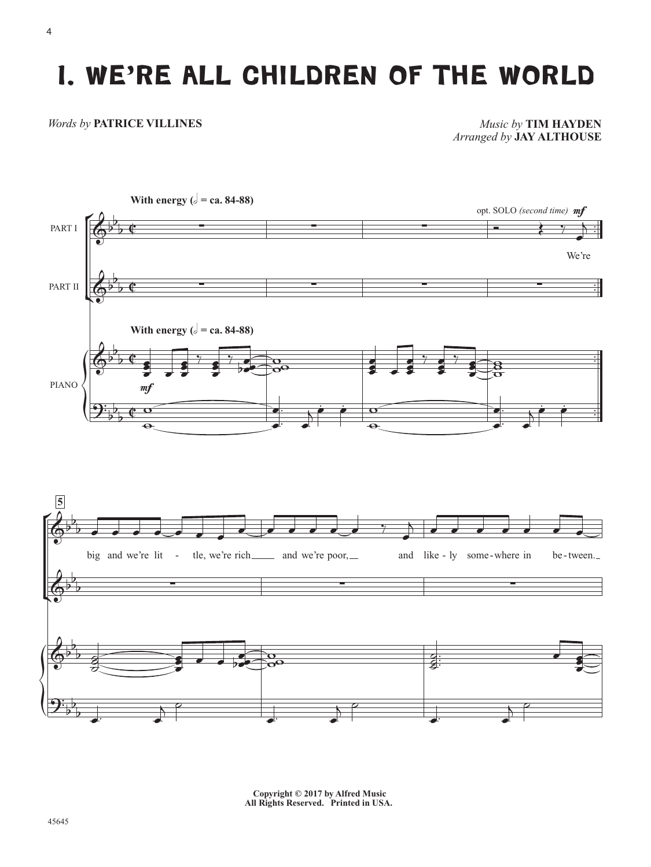## **1. WE'RE ALL CHILDREN OF THE WORLD** 1. WE'RE ALL CHILDREN OF THE WORLD

#### *Words by* **PATRICE VILLINES**

*Music by* **TIM HAYDEN** *Arranged by* **JAY ALTHOUSE**







**Copyright © 2017 by Alfred Music All Rights Reserved. Printed in USA.**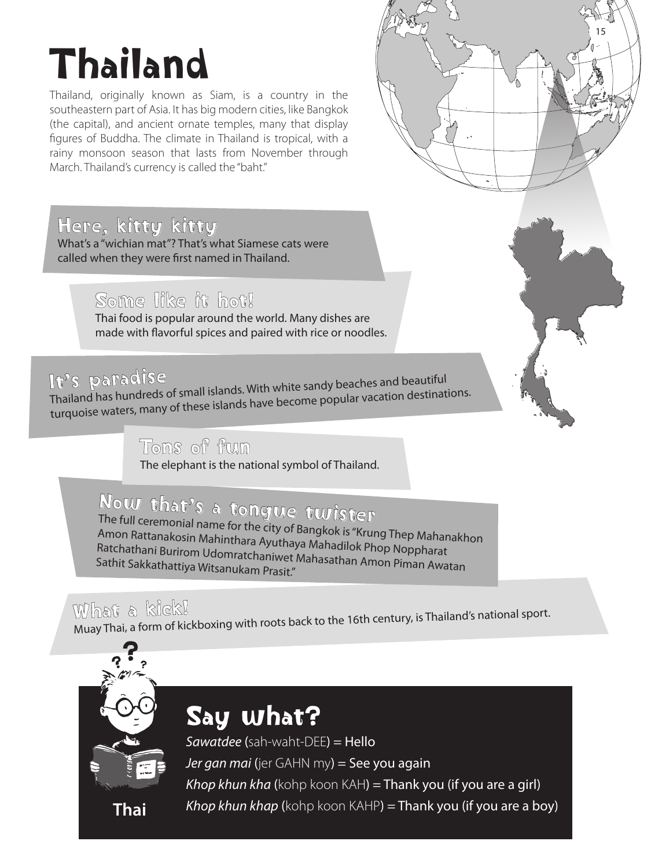# Thailand

Thailand, originally known as Siam, is a country in the southeastern part of Asia. It has big modern cities, like Bangkok (the capital), and ancient ornate temples, many that display figures of Buddha. The climate in Thailand is tropical, with a rainy monsoon season that lasts from November through March. Thailand's currency is called the "baht."

#### Here, kitty kitty

What's a "wichian mat"? That's what Siamese cats were called when they were first named in Thailand.

#### Some like it hot!

Thai food is popular around the world. Many dishes are made with flavorful spices and paired with rice or noodles.

### It's paradise

Thailand has hundreds of small islands. With white sandy beaches and beautiful turquoise waters, many of these islands have become popular vacation destinations.

#### Tons of fun

The elephant is the national symbol of Thailand.

## Now that's a tongue twister

The full ceremonial name for the city of Bangkok is "Krung Thep Mahanakhon Amon Rattanakosin Mahinthara Ayuthaya Mahadilok Phop Noppharat Ratchathani Burirom Udomratchaniwet Mahasathan Amon Piman Awatan Sathit Sakkathattiya Witsanukam Prasit."

### What a kick!

Muay Thai, a form of kickboxing with roots back to the 16th century, is Thailand's national sport.



### Say what?

*Sawatdee* (sah-waht-DEE) = Hello *Jer gan mai* (jer GAHN my) = See you again *Khop khun kha* (kohp koon KAH) = Thank you (if you are a girl) *Khop khun khap* (kohp koon KAHP) = Thank you (if you are a boy) **Thai** 15